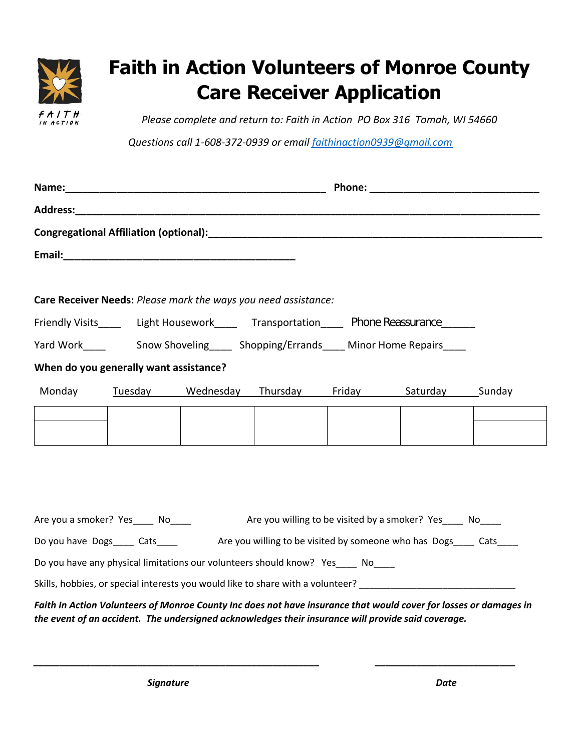

## **Faith in Action Volunteers of Monroe County Care Receiver Application**

*Please complete and return to: Faith in Action PO Box 316 Tomah, WI 54660* 

*Questions call 1-608-372-0939 or email [faithinaction0939@gmail.com](mailto:faithinaction0939@gmail.com)*

|                                        |  | Care Receiver Needs: Please mark the ways you need assistance:                  |                                                                                             |  |                                                                                                                                                                                                                         |  |
|----------------------------------------|--|---------------------------------------------------------------------------------|---------------------------------------------------------------------------------------------|--|-------------------------------------------------------------------------------------------------------------------------------------------------------------------------------------------------------------------------|--|
|                                        |  |                                                                                 | Friendly Visits_______ Light Housework_______ Transportation______ Phone Reassurance_______ |  |                                                                                                                                                                                                                         |  |
|                                        |  |                                                                                 |                                                                                             |  |                                                                                                                                                                                                                         |  |
| When do you generally want assistance? |  |                                                                                 |                                                                                             |  |                                                                                                                                                                                                                         |  |
| Monday                                 |  |                                                                                 |                                                                                             |  | Tuesday Wednesday Thursday Friday Saturday Sunday                                                                                                                                                                       |  |
|                                        |  |                                                                                 |                                                                                             |  |                                                                                                                                                                                                                         |  |
|                                        |  |                                                                                 |                                                                                             |  |                                                                                                                                                                                                                         |  |
|                                        |  |                                                                                 |                                                                                             |  |                                                                                                                                                                                                                         |  |
|                                        |  |                                                                                 |                                                                                             |  |                                                                                                                                                                                                                         |  |
|                                        |  |                                                                                 |                                                                                             |  |                                                                                                                                                                                                                         |  |
|                                        |  |                                                                                 |                                                                                             |  |                                                                                                                                                                                                                         |  |
|                                        |  |                                                                                 |                                                                                             |  | Do you have Dogs____ Cats____ Are you willing to be visited by someone who has Dogs____ Cats____                                                                                                                        |  |
|                                        |  | Do you have any physical limitations our volunteers should know? Yes____ No____ |                                                                                             |  |                                                                                                                                                                                                                         |  |
|                                        |  |                                                                                 |                                                                                             |  | Skills, hobbies, or special interests you would like to share with a volunteer? ______________________________                                                                                                          |  |
|                                        |  |                                                                                 |                                                                                             |  | Faith In Action Volunteers of Monroe County Inc does not have insurance that would cover for losses or damages in<br>the event of an accident. The undersigned acknowledges their insurance will provide said coverage. |  |

*\_\_\_\_\_\_\_\_\_\_\_\_\_\_\_\_\_\_\_\_\_\_\_\_\_\_\_\_\_\_\_\_\_\_\_\_\_\_\_\_\_\_\_\_\_\_\_\_\_\_\_\_\_\_\_ \_\_\_\_\_\_\_\_\_\_\_\_\_\_\_\_\_\_\_\_\_\_\_\_\_\_\_*